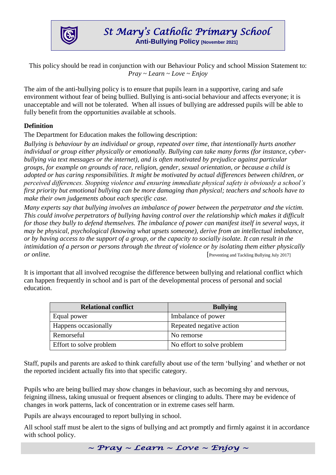

This policy should be read in conjunction with our Behaviour Policy and school Mission Statement to: *Pray ~ Learn ~ Love ~ Enjoy*

The aim of the anti-bullying policy is to ensure that pupils learn in a supportive, caring and safe environment without fear of being bullied. Bullying is anti-social behaviour and affects everyone; it is unacceptable and will not be tolerated. When all issues of bullying are addressed pupils will be able to fully benefit from the opportunities available at schools.

#### **Definition**

The Department for Education makes the following description:

*Bullying is behaviour by an individual or group, repeated over time, that intentionally hurts another individual or group either physically or emotionally. Bullying can take many forms (for instance, cyberbullying via text messages or the internet), and is often motivated by prejudice against particular groups, for example on grounds of race, religion, gender, sexual orientation, or because a child is adopted or has caring responsibilities. It might be motivated by actual differences between children, or perceived differences. Stopping violence and ensuring immediate physical safety is obviously a school's first priority but emotional bullying can be more damaging than physical; teachers and schools have to make their own judgements about each specific case.* 

*Many experts say that bullying involves an imbalance of power between the perpetrator and the victim. This could involve perpetrators of bullying having control over the relationship which makes it difficult for those they bully to defend themselves. The imbalance of power can manifest itself in several ways, it may be physical, psychological (knowing what upsets someone), derive from an intellectual imbalance, or by having access to the support of a group, or the capacity to socially isolate. It can result in the intimidation of a person or persons through the threat of violence or by isolating them either physically or online.* Preventing and Tackling Bullying July 2017]

It is important that all involved recognise the difference between bullying and relational conflict which can happen frequently in school and is part of the developmental process of personal and social education.

| <b>Relational conflict</b> | <b>Bullying</b>            |
|----------------------------|----------------------------|
| Equal power                | Imbalance of power         |
| Happens occasionally       | Repeated negative action   |
| Remorseful                 | No remorse                 |
| Effort to solve problem    | No effort to solve problem |

Staff, pupils and parents are asked to think carefully about use of the term 'bullying' and whether or not the reported incident actually fits into that specific category.

Pupils who are being bullied may show changes in behaviour, such as becoming shy and nervous, feigning illness, taking unusual or frequent absences or clinging to adults. There may be evidence of changes in work patterns, lack of concentration or in extreme cases self harm.

Pupils are always encouraged to report bullying in school.

All school staff must be alert to the signs of bullying and act promptly and firmly against it in accordance with school policy.

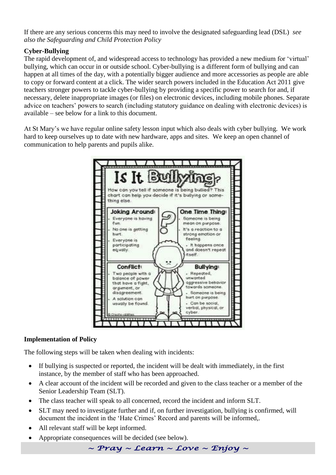If there are any serious concerns this may need to involve the designated safeguarding lead (DSL) *see also the Safeguarding and Child Protection Policy*

# **Cyber-Bullying**

The rapid development of, and widespread access to technology has provided a new medium for 'virtual' bullying, which can occur in or outside school. Cyber-bullying is a different form of bullying and can happen at all times of the day, with a potentially bigger audience and more accessories as people are able to copy or forward content at a click. The wider search powers included in the Education Act 2011 give teachers stronger powers to tackle cyber-bullying by providing a specific power to search for and, if necessary, delete inappropriate images (or files) on electronic devices, including mobile phones. Separate advice on teachers' powers to search (including statutory guidance on dealing with electronic devices) is available – see below for a link to this document.

At St Mary's we have regular online safety lesson input which also deals with cyber bullying. We work hard to keep ourselves up to date with new hardware, apps and sites. We keep an open channel of communication to help parents and pupils alike.



# **Implementation of Policy**

The following steps will be taken when dealing with incidents:

- If bullying is suspected or reported, the incident will be dealt with immediately, in the first instance, by the member of staff who has been approached.
- A clear account of the incident will be recorded and given to the class teacher or a member of the Senior Leadership Team (SLT).
- The class teacher will speak to all concerned, record the incident and inform SLT.
- SLT may need to investigate further and if, on further investigation, bullying is confirmed, will document the incident in the 'Hate Crimes' Record and parents will be informed,.
- All relevant staff will be kept informed.
- Appropriate consequences will be decided (see below).